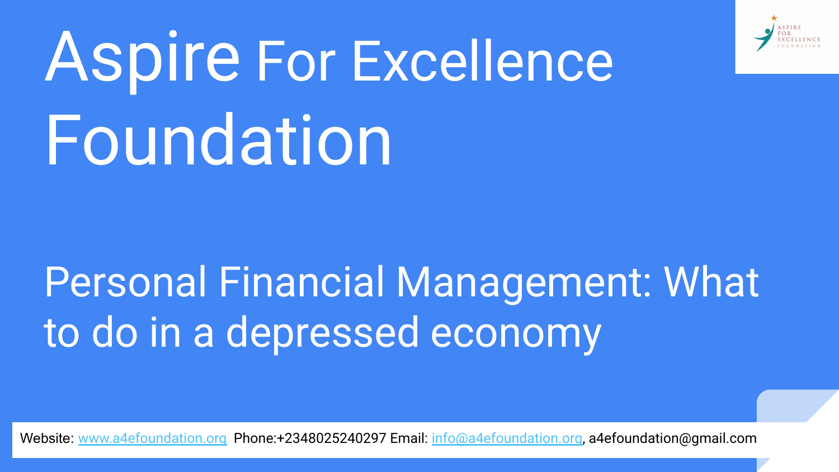

# Aspire For Excellence Foundation

# Personal Financial Management: What to do in a depressed economy

Website: [www.a4efoundation.org](http://www.a4efoundation.org) Phone:+2348025240297 Email: [info@a4efoundation.org,](mailto:info@a4efoundation.org) a4efoundation@gmail.com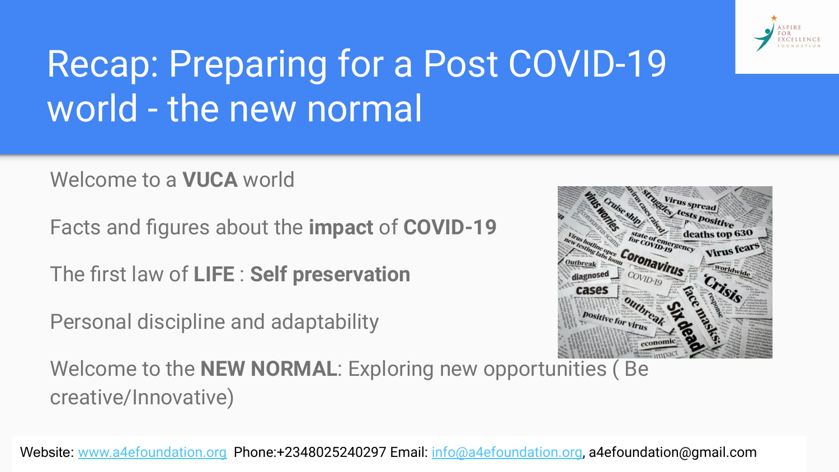

### Recap: Preparing for a Post COVID-19 world - the new normal

Welcome to a **VUCA** world

Facts and figures about the **impact** of **COVID-19**

The first law of **LIFE** : **Self preservation**

Personal discipline and adaptability



Welcome to the **NEW NORMAL**: Exploring new opportunities ( Be creative/Innovative)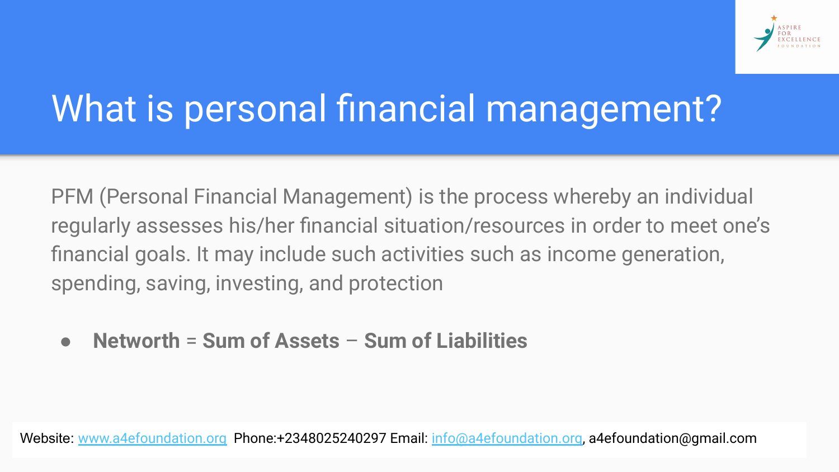

#### What is personal financial management?

PFM (Personal Financial Management) is the process whereby an individual regularly assesses his/her financial situation/resources in order to meet one's financial goals. It may include such activities such as income generation, spending, saving, investing, and protection

● **Networth** = **Sum of Assets** – **Sum of Liabilities**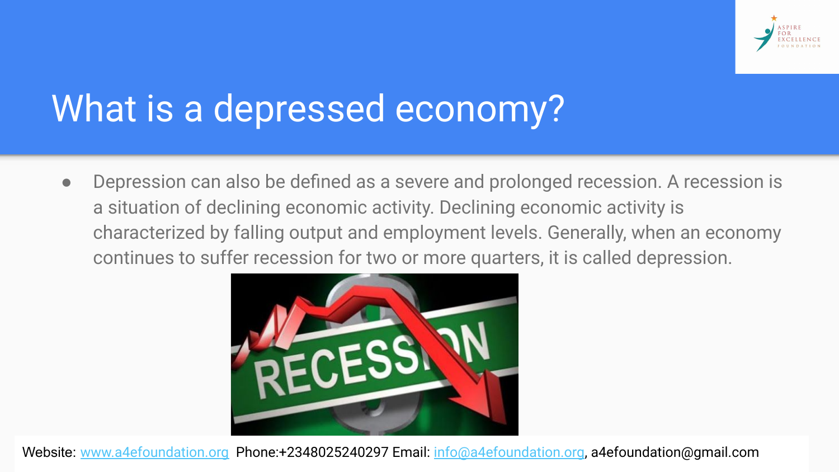

#### What is a depressed economy?

● Depression can also be defined as a severe and prolonged recession. A recession is a situation of declining economic activity. Declining economic activity is characterized by falling output and employment levels. Generally, when an economy continues to suffer recession for two or more quarters, it is called depression.

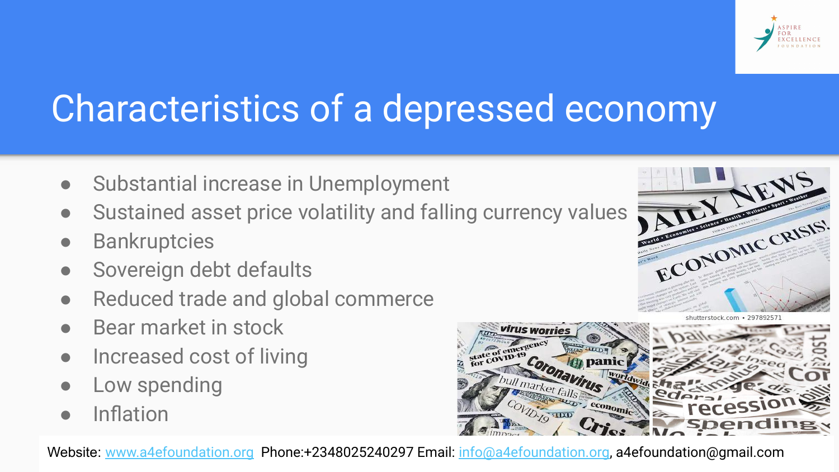

#### Characteristics of a depressed economy

- Substantial increase in Unemployment
- Sustained asset price volatility and falling currency values
- **Bankruptcies**
- Sovereign debt defaults
- Reduced trade and global commerce
- Bear market in stock
- Increased cost of living
- Low spending
- **Inflation**



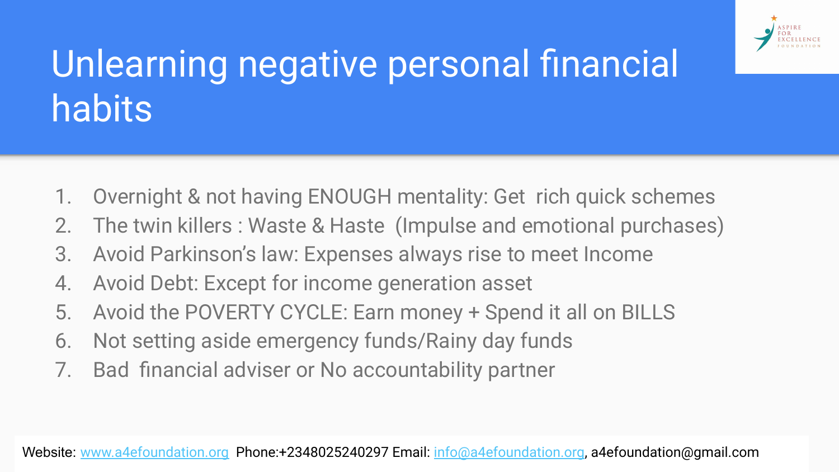

#### Unlearning negative personal financial habits

- 1. Overnight & not having ENOUGH mentality: Get rich quick schemes
- 2. The twin killers : Waste & Haste (Impulse and emotional purchases)
- 3. Avoid Parkinson's law: Expenses always rise to meet Income
- 4. Avoid Debt: Except for income generation asset
- 5. Avoid the POVERTY CYCLE: Earn money + Spend it all on BILLS
- 6. Not setting aside emergency funds/Rainy day funds
- 7. Bad financial adviser or No accountability partner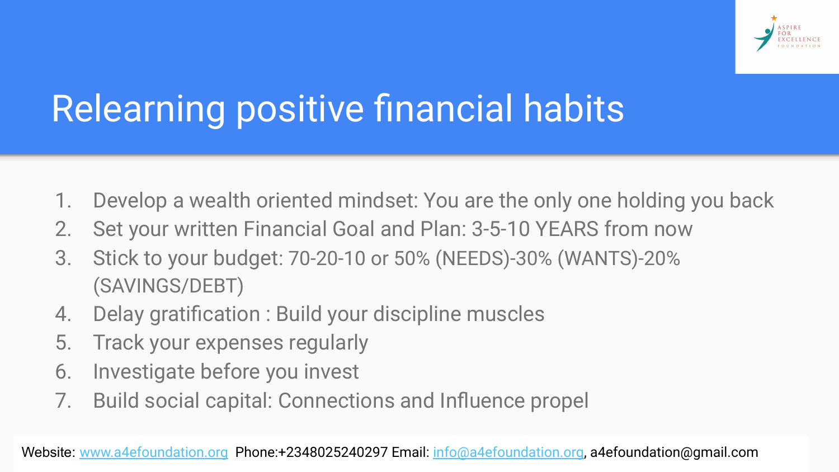

#### Relearning positive financial habits

- 1. Develop a wealth oriented mindset: You are the only one holding you back
- 2. Set your written Financial Goal and Plan: 3-5-10 YEARS from now
- 3. Stick to your budget: 70-20-10 or 50% (NEEDS)-30% (WANTS)-20% (SAVINGS/DEBT)
- 4. Delay gratification : Build your discipline muscles
- 5. Track your expenses regularly
- 6. Investigate before you invest
- 7. Build social capital: Connections and Influence propel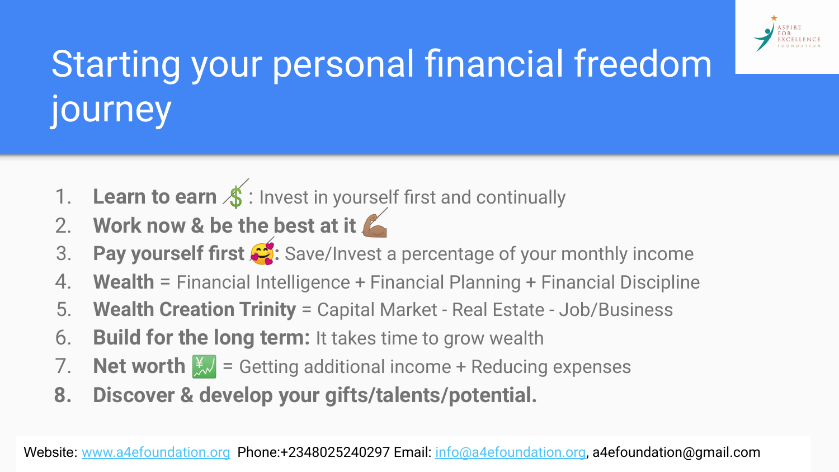

## Starting your personal financial freedom journey

- 1. Learn to earn  $\oint$ : Invest in yourself first and continually
- 2. **Work now & be the best at it**
- 3. **Pay yourself first**  $\mathcal{L}$ **:** Save/Invest a percentage of your monthly income
- 4. **Wealth** = Financial Intelligence + Financial Planning + Financial Discipline
- 5. **Wealth Creation Trinity** = Capital Market Real Estate Job/Business
- 6. **Build for the long term:** It takes time to grow wealth
- 7. **Net worth**  $\frac{1}{2}$  = Getting additional income + Reducing expenses
- **8. Discover & develop your gifts/talents/potential.**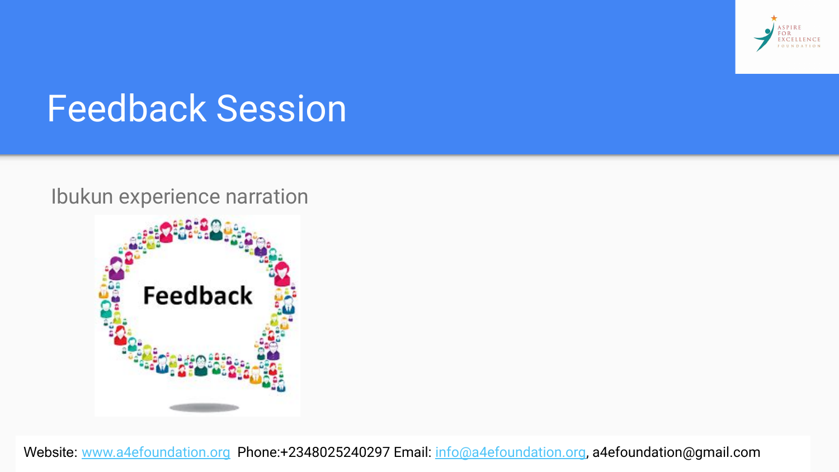

#### Feedback Session

#### Ibukun experience narration